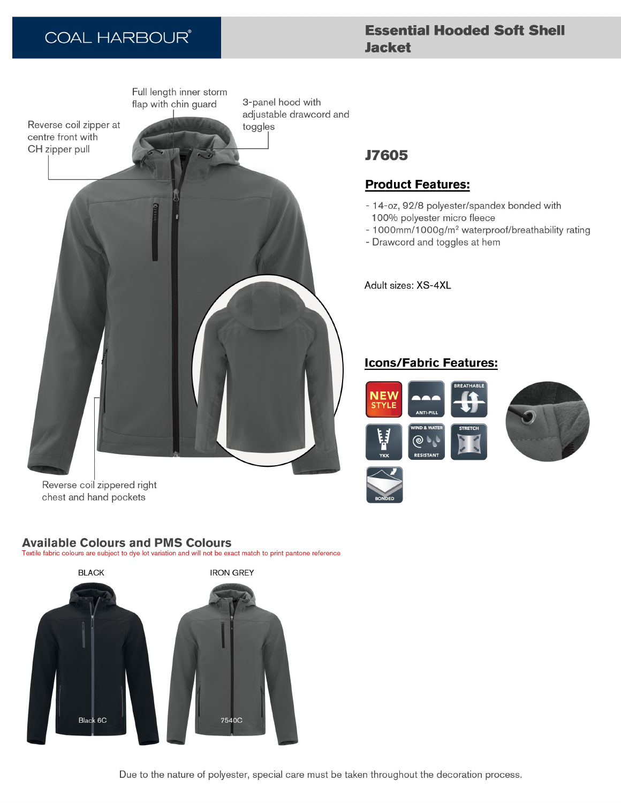# **COAL HARBOUR®**

## **Essential Hooded Soft Shell Jacket**



## **J7605**

## **Product Features:**

- 14-oz, 92/8 polyester/spandex bonded with 100% polyester micro fleece
- 1000mm/1000g/m<sup>2</sup> waterproof/breathability rating
- Drawcord and toggles at hem

Adult sizes: XS-4XL

### **Icons/Fabric Features:**



Reverse coil zippered right chest and hand pockets

### **Available Colours and PMS Colours**

Textile fabric colours are subject to dye lot variation and will not be exact match to print pantone reference